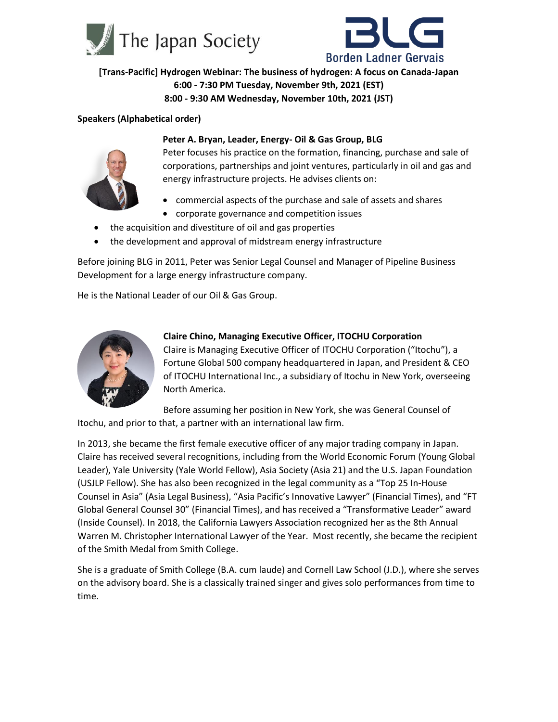



**[Trans-Pacific] Hydrogen Webinar: The business of hydrogen: A focus on Canada-Japan 6:00 - 7:30 PM Tuesday, November 9th, 2021 (EST) 8:00 - 9:30 AM Wednesday, November 10th, 2021 (JST)**

#### **Speakers (Alphabetical order)**



#### **Peter A. Bryan, Leader, Energy- Oil & Gas Group, BLG**

Peter focuses his practice on the formation, financing, purchase and sale of corporations, partnerships and joint ventures, particularly in oil and gas and energy infrastructure projects. He advises clients on:

- commercial aspects of the purchase and sale of assets and shares
- corporate governance and competition issues
- the acquisition and divestiture of oil and gas properties
- the development and approval of midstream energy infrastructure

Before joining BLG in 2011, Peter was Senior Legal Counsel and Manager of Pipeline Business Development for a large energy infrastructure company.

He is the National Leader of our Oil & Gas Group.



## **Claire Chino, Managing Executive Officer, ITOCHU Corporation** Claire is Managing Executive Officer of ITOCHU Corporation ("Itochu"), a Fortune Global 500 company headquartered in Japan, and President & CEO of ITOCHU International Inc., a subsidiary of Itochu in New York, overseeing North America.

Before assuming her position in New York, she was General Counsel of Itochu, and prior to that, a partner with an international law firm.

In 2013, she became the first female executive officer of any major trading company in Japan. Claire has received several recognitions, including from the World Economic Forum (Young Global Leader), Yale University (Yale World Fellow), Asia Society (Asia 21) and the U.S. Japan Foundation (USJLP Fellow). She has also been recognized in the legal community as a "Top 25 In-House Counsel in Asia" (Asia Legal Business), "Asia Pacific's Innovative Lawyer" (Financial Times), and "FT Global General Counsel 30" (Financial Times), and has received a "Transformative Leader" award (Inside Counsel). In 2018, the California Lawyers Association recognized her as the 8th Annual Warren M. Christopher International Lawyer of the Year. Most recently, she became the recipient of the Smith Medal from Smith College.

She is a graduate of Smith College (B.A. cum laude) and Cornell Law School (J.D.), where she serves on the advisory board. She is a classically trained singer and gives solo performances from time to time.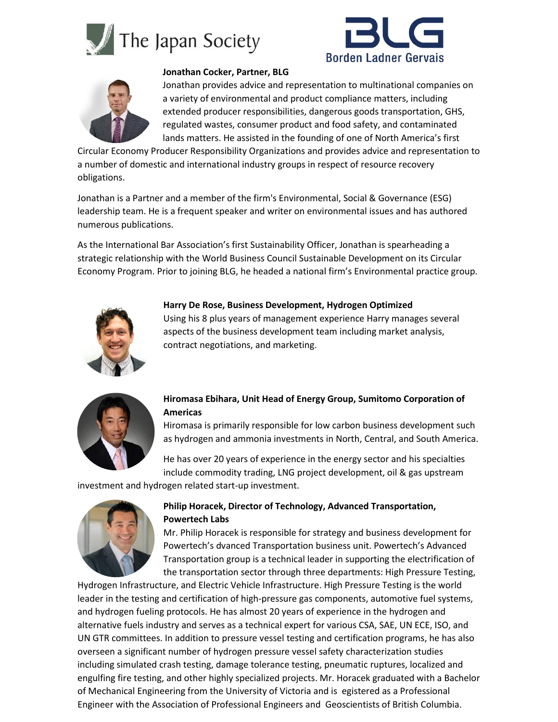





#### **Jonathan Cocker, Partner, BLG**

Jonathan provides advice and representation to multinational companies on a variety of environmental and product compliance matters, including extended producer responsibilities, dangerous goods transportation, GHS, regulated wastes, consumer product and food safety, and contaminated lands matters. He assisted in the founding of one of North America's first

Circular Economy Producer Responsibility Organizations and provides advice and representation to a number of domestic and international industry groups in respect of resource recovery obligations.

Jonathan is a Partner and a member of the firm's Environmental, Social & Governance (ESG) leadership team. He is a frequent speaker and writer on environmental issues and has authored numerous publications.

As the International Bar Association's first Sustainability Officer, Jonathan is spearheading a strategic relationship with the World Business Council Sustainable Development on its Circular Economy Program. Prior to joining BLG, he headed a national firm's Environmental practice group.



### **Harry De Rose, Business Development, Hydrogen Optimized**

Using his 8 plus years of management experience Harry manages several aspects of the business development team including market analysis, contract negotiations, and marketing.



## **Hiromasa Ebihara, Unit Head of Energy Group, Sumitomo Corporation of Americas**

Hiromasa is primarily responsible for low carbon business development such as hydrogen and ammonia investments in North, Central, and South America.

He has over 20 years of experience in the energy sector and his specialties include commodity trading, LNG project development, oil & gas upstream

investment and hydrogen related start-up investment.



## **Philip Horacek, Director of Technology, Advanced Transportation, Powertech Labs**

Mr. Philip Horacek is responsible for strategy and business development for Powertech's dvanced Transportation business unit. Powertech's Advanced Transportation group is a technical leader in supporting the electrification of the transportation sector through three departments: High Pressure Testing,

Hydrogen Infrastructure, and Electric Vehicle Infrastructure. High Pressure Testing is the world leader in the testing and certification of high-pressure gas components, automotive fuel systems, and hydrogen fueling protocols. He has almost 20 years of experience in the hydrogen and alternative fuels industry and serves as a technical expert for various CSA, SAE, UN ECE, ISO, and UN GTR committees. In addition to pressure vessel testing and certification programs, he has also overseen a significant number of hydrogen pressure vessel safety characterization studies including simulated crash testing, damage tolerance testing, pneumatic ruptures, localized and engulfing fire testing, and other highly specialized projects. Mr. Horacek graduated with a Bachelor of Mechanical Engineering from the University of Victoria and is egistered as a Professional Engineer with the Association of Professional Engineers and Geoscientists of British Columbia.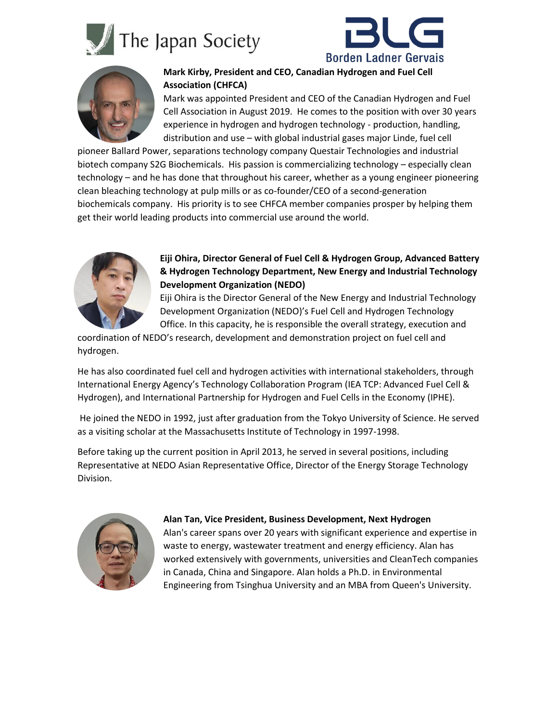





# **Mark Kirby, President and CEO, Canadian Hydrogen and Fuel Cell Association (CHFCA)**

Mark was appointed President and CEO of the Canadian Hydrogen and Fuel Cell Association in August 2019. He comes to the position with over 30 years experience in hydrogen and hydrogen technology - production, handling, distribution and use – with global industrial gases major Linde, fuel cell

pioneer Ballard Power, separations technology company Questair Technologies and industrial biotech company S2G Biochemicals. His passion is commercializing technology – especially clean technology – and he has done that throughout his career, whether as a young engineer pioneering clean bleaching technology at pulp mills or as co-founder/CEO of a second-generation biochemicals company. His priority is to see CHFCA member companies prosper by helping them get their world leading products into commercial use around the world.



### **Eiji Ohira, Director General of Fuel Cell & Hydrogen Group, Advanced Battery & Hydrogen Technology Department, New Energy and Industrial Technology Development Organization (NEDO)**

Eiji Ohira is the Director General of the New Energy and Industrial Technology Development Organization (NEDO)'s Fuel Cell and Hydrogen Technology Office. In this capacity, he is responsible the overall strategy, execution and

coordination of NEDO's research, development and demonstration project on fuel cell and hydrogen.

He has also coordinated fuel cell and hydrogen activities with international stakeholders, through International Energy Agency's Technology Collaboration Program (IEA TCP: Advanced Fuel Cell & Hydrogen), and International Partnership for Hydrogen and Fuel Cells in the Economy (IPHE).

He joined the NEDO in 1992, just after graduation from the Tokyo University of Science. He served as a visiting scholar at the Massachusetts Institute of Technology in 1997-1998.

Before taking up the current position in April 2013, he served in several positions, including Representative at NEDO Asian Representative Office, Director of the Energy Storage Technology Division.



### **Alan Tan, Vice President, Business Development, Next Hydrogen**

Alan's career spans over 20 years with significant experience and expertise in waste to energy, wastewater treatment and energy efficiency. Alan has worked extensively with governments, universities and CleanTech companies in Canada, China and Singapore. Alan holds a Ph.D. in Environmental Engineering from Tsinghua University and an MBA from Queen's University.